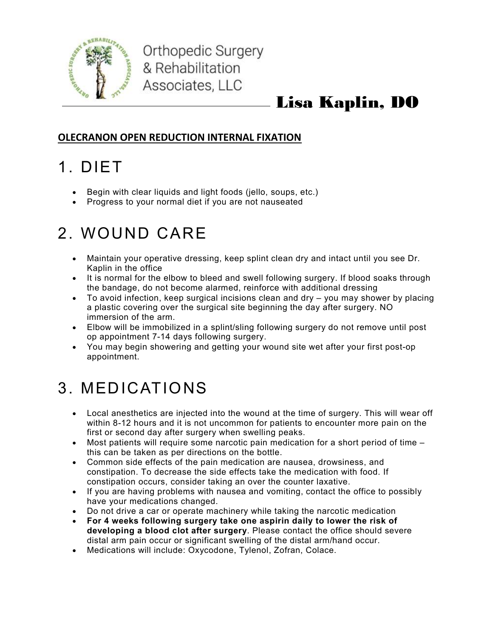

## Lisa Kaplin, DO

#### OLECRANON OPEN REDUCTION INTERNAL FIXATION

## 1. DIET

- Begin with clear liquids and light foods (jello, soups, etc.)
- Progress to your normal diet if you are not nauseated

## 2. WOUND CARE

- Maintain your operative dressing, keep splint clean dry and intact until you see Dr. Kaplin in the office
- It is normal for the elbow to bleed and swell following surgery. If blood soaks through the bandage, do not become alarmed, reinforce with additional dressing
- To avoid infection, keep surgical incisions clean and dry you may shower by placing a plastic covering over the surgical site beginning the day after surgery. NO immersion of the arm.
- Elbow will be immobilized in a splint/sling following surgery do not remove until post op appointment 7-14 days following surgery.
- You may begin showering and getting your wound site wet after your first post-op appointment.

## 3. MEDICATIONS

- Local anesthetics are injected into the wound at the time of surgery. This will wear off within 8-12 hours and it is not uncommon for patients to encounter more pain on the first or second day after surgery when swelling peaks.
- Most patients will require some narcotic pain medication for a short period of time this can be taken as per directions on the bottle.
- Common side effects of the pain medication are nausea, drowsiness, and constipation. To decrease the side effects take the medication with food. If constipation occurs, consider taking an over the counter laxative.
- If you are having problems with nausea and vomiting, contact the office to possibly have your medications changed.
- Do not drive a car or operate machinery while taking the narcotic medication
- For 4 weeks following surgery take one aspirin daily to lower the risk of developing a blood clot after surgery. Please contact the office should severe distal arm pain occur or significant swelling of the distal arm/hand occur.
- Medications will include: Oxycodone, Tylenol, Zofran, Colace.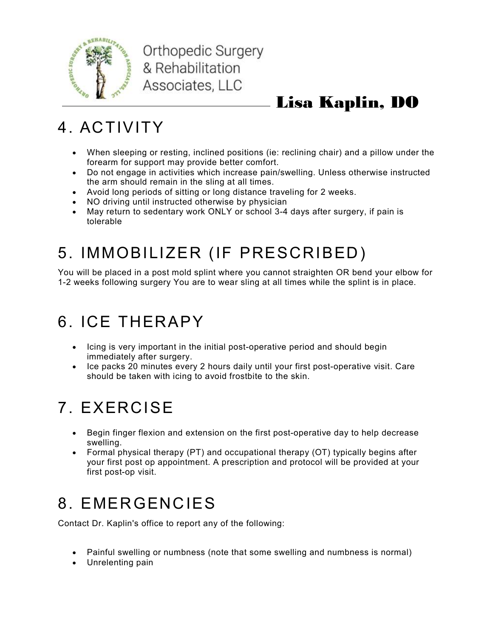

Orthopedic Surgery & Rehabilitation Associates, LLC

## Lisa Kaplin, DO

## 4. ACTIVITY

- When sleeping or resting, inclined positions (ie: reclining chair) and a pillow under the forearm for support may provide better comfort.
- Do not engage in activities which increase pain/swelling. Unless otherwise instructed the arm should remain in the sling at all times.
- Avoid long periods of sitting or long distance traveling for 2 weeks.
- NO driving until instructed otherwise by physician
- May return to sedentary work ONLY or school 3-4 days after surgery, if pain is tolerable

# 5. IMMOBILIZER (IF PRESCRIBED)

You will be placed in a post mold splint where you cannot straighten OR bend your elbow for 1-2 weeks following surgery You are to wear sling at all times while the splint is in place.

## 6. ICE THERAPY

- Icing is very important in the initial post-operative period and should begin immediately after surgery.
- Ice packs 20 minutes every 2 hours daily until your first post-operative visit. Care should be taken with icing to avoid frostbite to the skin.

## 7. EXERCISE

- Begin finger flexion and extension on the first post-operative day to help decrease swelling.
- Formal physical therapy (PT) and occupational therapy (OT) typically begins after your first post op appointment. A prescription and protocol will be provided at your first post-op visit.

## 8. EMERGENCIES

Contact Dr. Kaplin's office to report any of the following:

- Painful swelling or numbness (note that some swelling and numbness is normal)
- Unrelenting pain